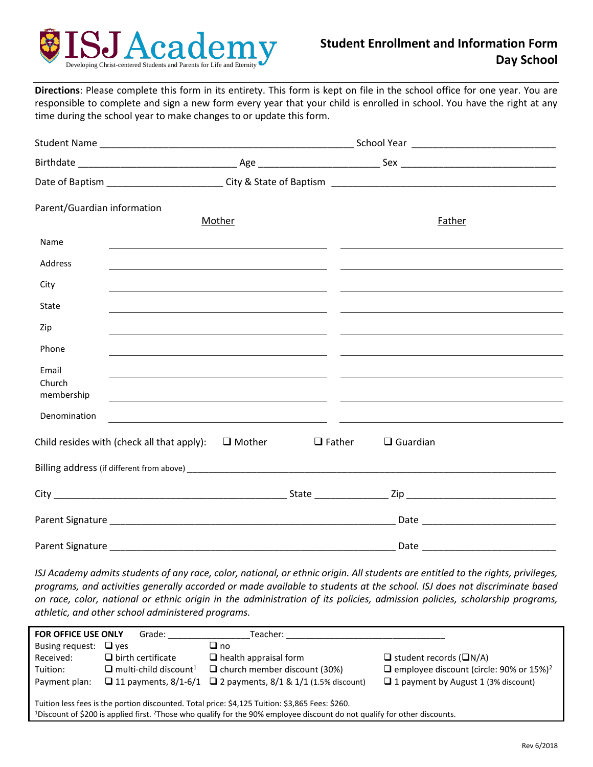

**Directions**: Please complete this form in its entirety. This form is kept on file in the school office for one year. You are responsible to complete and sign a new form every year that your child is enrolled in school. You have the right at any time during the school year to make changes to or update this form.

| Parent/Guardian information   | Mother                                                                                                                                                                                                                                       |               | Father          |  |
|-------------------------------|----------------------------------------------------------------------------------------------------------------------------------------------------------------------------------------------------------------------------------------------|---------------|-----------------|--|
| Name                          |                                                                                                                                                                                                                                              |               |                 |  |
| Address                       |                                                                                                                                                                                                                                              |               |                 |  |
| City                          |                                                                                                                                                                                                                                              |               |                 |  |
| State                         | <u> 1989 - Andrea Stadt Brandenburg, amerikansk politiker (* 1908)</u>                                                                                                                                                                       |               |                 |  |
| Zip                           |                                                                                                                                                                                                                                              |               |                 |  |
| Phone                         |                                                                                                                                                                                                                                              |               |                 |  |
| Email<br>Church<br>membership | <u> 2000 - Andrea Andrew Amerikaanse kommunister (* 1900), met de verskilder of de verskeide om de verskeide om</u><br><u> 1989 - Andrea Santa Alemania, amerikana amerikana amerikana amerikana amerikana amerikana amerikana amerikana</u> |               |                 |  |
| Denomination                  | <u> 1990 - Jacques Alexandro III, poeta estadounidense de la contradición de la contradición de la contradición d</u>                                                                                                                        |               |                 |  |
|                               | Child resides with (check all that apply): $\Box$ Mother                                                                                                                                                                                     | $\Box$ Father | $\Box$ Guardian |  |
|                               |                                                                                                                                                                                                                                              |               |                 |  |
|                               |                                                                                                                                                                                                                                              |               |                 |  |
|                               |                                                                                                                                                                                                                                              |               |                 |  |
|                               |                                                                                                                                                                                                                                              |               |                 |  |

*ISJ Academy admits students of any race, color, national, or ethnic origin. All students are entitled to the rights, privileges, programs, and activities generally accorded or made available to students at the school. ISJ does not discriminate based on race, color, national or ethnic origin in the administration of its policies, admission policies, scholarship programs, athletic, and other school administered programs.*

| <b>FOR OFFICE USE ONLY</b>                                                                                                                                                                                                                           | Grade:                                   | Teacher:                                     |                                                            |  |
|------------------------------------------------------------------------------------------------------------------------------------------------------------------------------------------------------------------------------------------------------|------------------------------------------|----------------------------------------------|------------------------------------------------------------|--|
| Busing request:                                                                                                                                                                                                                                      | $\Box$ ves                               | $\Box$ no                                    |                                                            |  |
| Received:                                                                                                                                                                                                                                            | $\Box$ birth certificate                 | $\Box$ health appraisal form                 | $\Box$ student records ( $\Box N/A$ )                      |  |
| Tuition:                                                                                                                                                                                                                                             | $\Box$ multi-child discount <sup>1</sup> | $\Box$ church member discount (30%)          | $\Box$ employee discount (circle: 90% or 15%) <sup>2</sup> |  |
| Payment plan:                                                                                                                                                                                                                                        | $\Box$ 11 payments, 8/1-6/1              | $\Box$ 2 payments, 8/1 & 1/1 (1.5% discount) | $\Box$ 1 payment by August 1 (3% discount)                 |  |
| Tuition less fees is the portion discounted. Total price: \$4,125 Tuition: \$3,865 Fees: \$260.<br><sup>1</sup> Discount of \$200 is applied first. <sup>2</sup> Those who qualify for the 90% employee discount do not qualify for other discounts. |                                          |                                              |                                                            |  |
|                                                                                                                                                                                                                                                      |                                          |                                              |                                                            |  |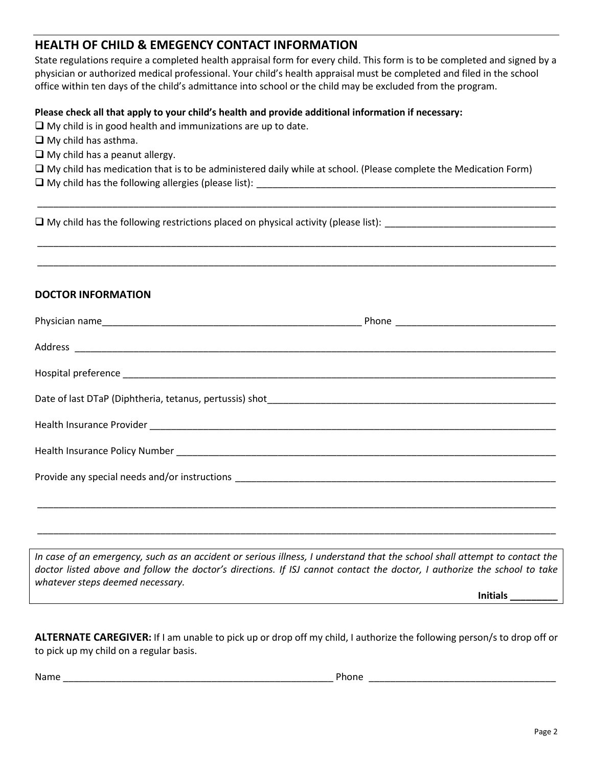# **HEALTH OF CHILD & EMEGENCY CONTACT INFORMATION**

State regulations require a completed health appraisal form for every child. This form is to be completed and signed by a physician or authorized medical professional. Your child's health appraisal must be completed and filed in the school office within ten days of the child's admittance into school or the child may be excluded from the program.

### **Please check all that apply to your child's health and provide additional information if necessary:**

 $\Box$  My child is in good health and immunizations are up to date.

 $\Box$  My child has asthma.

 $\Box$  My child has a peanut allergy.

My child has medication that is to be administered daily while at school. (Please complete the Medication Form)

\_\_\_\_\_\_\_\_\_\_\_\_\_\_\_\_\_\_\_\_\_\_\_\_\_\_\_\_\_\_\_\_\_\_\_\_\_\_\_\_\_\_\_\_\_\_\_\_\_\_\_\_\_\_\_\_\_\_\_\_\_\_\_\_\_\_\_\_\_\_\_\_\_\_\_\_\_\_\_\_\_\_\_\_\_\_\_\_\_\_\_\_\_\_\_\_\_

\_\_\_\_\_\_\_\_\_\_\_\_\_\_\_\_\_\_\_\_\_\_\_\_\_\_\_\_\_\_\_\_\_\_\_\_\_\_\_\_\_\_\_\_\_\_\_\_\_\_\_\_\_\_\_\_\_\_\_\_\_\_\_\_\_\_\_\_\_\_\_\_\_\_\_\_\_\_\_\_\_\_\_\_\_\_\_\_\_\_\_\_\_\_\_\_\_

\_\_\_\_\_\_\_\_\_\_\_\_\_\_\_\_\_\_\_\_\_\_\_\_\_\_\_\_\_\_\_\_\_\_\_\_\_\_\_\_\_\_\_\_\_\_\_\_\_\_\_\_\_\_\_\_\_\_\_\_\_\_\_\_\_\_\_\_\_\_\_\_\_\_\_\_\_\_\_\_\_\_\_\_\_\_\_\_\_\_\_\_\_\_\_\_\_

 $\square$  My child has the following allergies (please list):

My child has the following restrictions placed on physical activity (please list): \_\_\_\_\_\_\_\_\_\_\_\_\_\_\_\_\_\_\_\_\_\_\_\_\_\_\_\_\_\_\_\_

## **DOCTOR INFORMATION**

*In case of an emergency, such as an accident or serious illness, I understand that the school shall attempt to contact the doctor listed above and follow the doctor's directions. If ISJ cannot contact the doctor, I authorize the school to take whatever steps deemed necessary.*

\_\_\_\_\_\_\_\_\_\_\_\_\_\_\_\_\_\_\_\_\_\_\_\_\_\_\_\_\_\_\_\_\_\_\_\_\_\_\_\_\_\_\_\_\_\_\_\_\_\_\_\_\_\_\_\_\_\_\_\_\_\_\_\_\_\_\_\_\_\_\_\_\_\_\_\_\_\_\_\_\_\_\_\_\_\_\_\_\_\_\_\_\_\_\_\_\_

**Initials \_\_\_\_\_\_\_\_\_**

**ALTERNATE CAREGIVER:** If I am unable to pick up or drop off my child, I authorize the following person/s to drop off or to pick up my child on a regular basis.

Name \_\_\_\_\_\_\_\_\_\_\_\_\_\_\_\_\_\_\_\_\_\_\_\_\_\_\_\_\_\_\_\_\_\_\_\_\_\_\_\_\_\_\_\_\_\_\_\_\_\_\_ Phone \_\_\_\_\_\_\_\_\_\_\_\_\_\_\_\_\_\_\_\_\_\_\_\_\_\_\_\_\_\_\_\_\_\_\_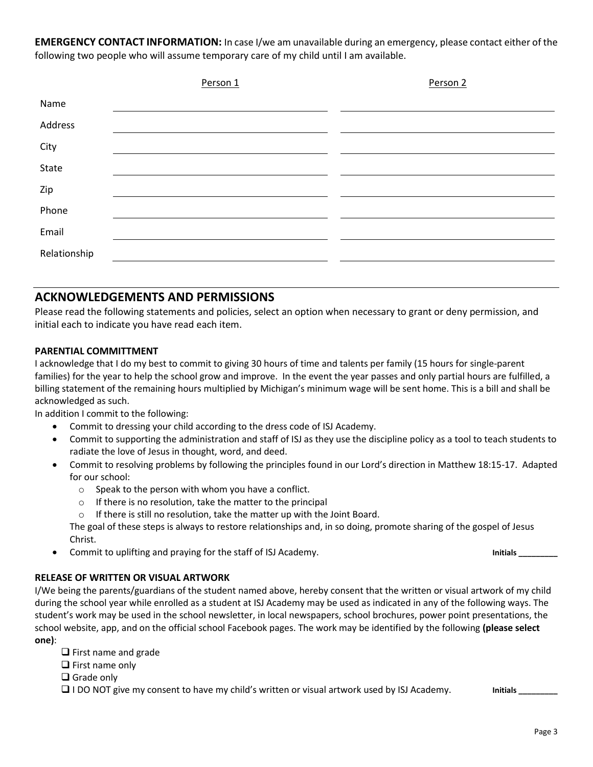**EMERGENCY CONTACT INFORMATION:** In case I/we am unavailable during an emergency, please contact either of the following two people who will assume temporary care of my child until I am available.

|              | Person 1 | Person 2 |
|--------------|----------|----------|
| Name         |          |          |
| Address      |          |          |
| City         |          |          |
| State        |          |          |
| Zip          |          |          |
| Phone        |          |          |
| Email        |          |          |
| Relationship |          |          |
|              |          |          |

## **ACKNOWLEDGEMENTS AND PERMISSIONS**

Please read the following statements and policies, select an option when necessary to grant or deny permission, and initial each to indicate you have read each item.

#### **PARENTIAL COMMITTMENT**

I acknowledge that I do my best to commit to giving 30 hours of time and talents per family (15 hours for single-parent families) for the year to help the school grow and improve. In the event the year passes and only partial hours are fulfilled, a billing statement of the remaining hours multiplied by Michigan's minimum wage will be sent home. This is a bill and shall be acknowledged as such.

In addition I commit to the following:

- Commit to dressing your child according to the dress code of ISJ Academy.
- Commit to supporting the administration and staff of ISJ as they use the discipline policy as a tool to teach students to radiate the love of Jesus in thought, word, and deed.
- Commit to resolving problems by following the principles found in our Lord's direction in Matthew 18:15-17. Adapted for our school:
	- o Speak to the person with whom you have a conflict.
	- o If there is no resolution, take the matter to the principal
	- $\circ$  If there is still no resolution, take the matter up with the Joint Board.

The goal of these steps is always to restore relationships and, in so doing, promote sharing of the gospel of Jesus Christ.

Commit to uplifting and praying for the staff of ISJ Academy. **Initials** and  $\sum$ 

## **RELEASE OF WRITTEN OR VISUAL ARTWORK**

I/We being the parents/guardians of the student named above, hereby consent that the written or visual artwork of my child during the school year while enrolled as a student at ISJ Academy may be used as indicated in any of the following ways. The student's work may be used in the school newsletter, in local newspapers, school brochures, power point presentations, the school website, app, and on the official school Facebook pages. The work may be identified by the following **(please select one)**:

- $\Box$  First name and grade
- $\Box$  First name only
- **□** Grade only

**I** I DO NOT give my consent to have my child's written or visual artwork used by ISJ Academy. **Initials** limitials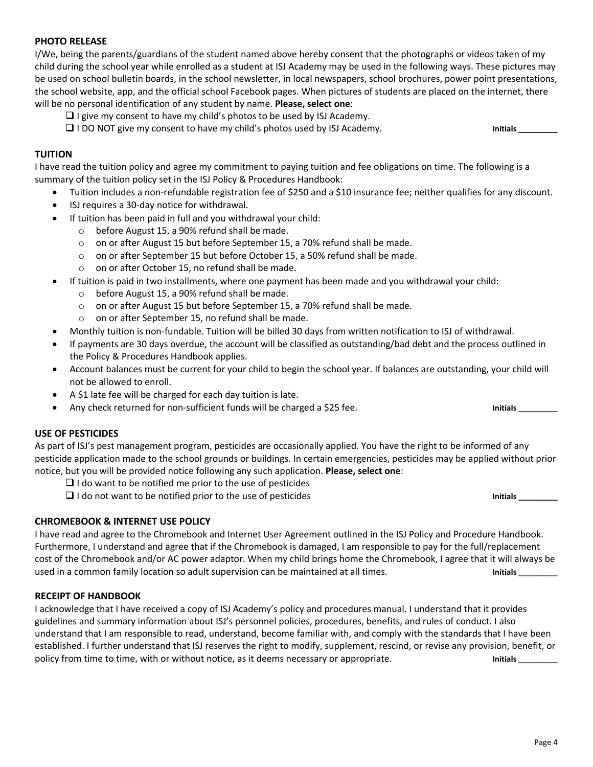#### **PHOTO RELEASE**

I/We, being the parents/guardians of the student named above hereby consent that the photographs or videos taken of my child during the school year while enrolled as a student at ISJ Academy may be used in the following ways. These pictures may be used on school bulletin boards, in the school newsletter, in local newspapers, school brochures, power point presentations, the school website, app, and the official school Facebook pages. When pictures of students are placed on the internet, there will be no personal identification of any student by name. **Please, select one**:

- $\Box$  I give my consent to have my child's photos to be used by ISJ Academy.
- □ I DO NOT give my consent to have my child's photos used by ISJ Academy. **Initials** and the unitials

#### **TUITION**

I have read the tuition policy and agree my commitment to paying tuition and fee obligations on time. The following is a summary of the tuition policy set in the ISJ Policy & Procedures Handbook:

- Tuition includes a non-refundable registration fee of \$250 and a \$10 insurance fee; neither qualifies for any discount.
- ISJ requires a 30-day notice for withdrawal.
- If tuition has been paid in full and you withdrawal your child:
	- o before August 15, a 90% refund shall be made.
	- o on or after August 15 but before September 15, a 70% refund shall be made.
	- o on or after September 15 but before October 15, a 50% refund shall be made.
	- o on or after October 15, no refund shall be made.
- If tuition is paid in two installments, where one payment has been made and you withdrawal your child:
	- before August 15, a 90% refund shall be made.
	- o on or after August 15 but before September 15, a 70% refund shall be made.
	- o on or after September 15, no refund shall be made.
- Monthly tuition is non-fundable. Tuition will be billed 30 days from written notification to ISJ of withdrawal.
- If payments are 30 days overdue, the account will be classified as outstanding/bad debt and the process outlined in the Policy & Procedures Handbook applies.
- Account balances must be current for your child to begin the school year. If balances are outstanding, your child will not be allowed to enroll.
- A \$1 late fee will be charged for each day tuition is late.
- Any check returned for non-sufficient funds will be charged a \$25 fee. **Initials** and the state of the limitials

#### **USE OF PESTICIDES**

As part of ISJ's pest management program, pesticides are occasionally applied. You have the right to be informed of any pesticide application made to the school grounds or buildings. In certain emergencies, pesticides may be applied without prior notice, but you will be provided notice following any such application. **Please, select one**:

- $\Box$  I do want to be notified me prior to the use of pesticides
- I do not want to be notified prior to the use of pesticides **Initials \_\_\_\_\_\_\_\_\_**

#### **CHROMEBOOK & INTERNET USE POLICY**

I have read and agree to the Chromebook and Internet User Agreement outlined in the ISJ Policy and Procedure Handbook. Furthermore, I understand and agree that if the Chromebook is damaged, I am responsible to pay for the full/replacement cost of the Chromebook and/or AC power adaptor. When my child brings home the Chromebook, I agree that it will always be used in a common family location so adult supervision can be maintained at all times. **In the analy constant in** 

#### **RECEIPT OF HANDBOOK**

I acknowledge that I have received a copy of ISJ Academy's policy and procedures manual. I understand that it provides guidelines and summary information about ISJ's personnel policies, procedures, benefits, and rules of conduct. I also understand that I am responsible to read, understand, become familiar with, and comply with the standards that I have been established. I further understand that ISJ reserves the right to modify, supplement, rescind, or revise any provision, benefit, or policy from time to time, with or without notice, as it deems necessary or appropriate. **Initials Initials Initials**